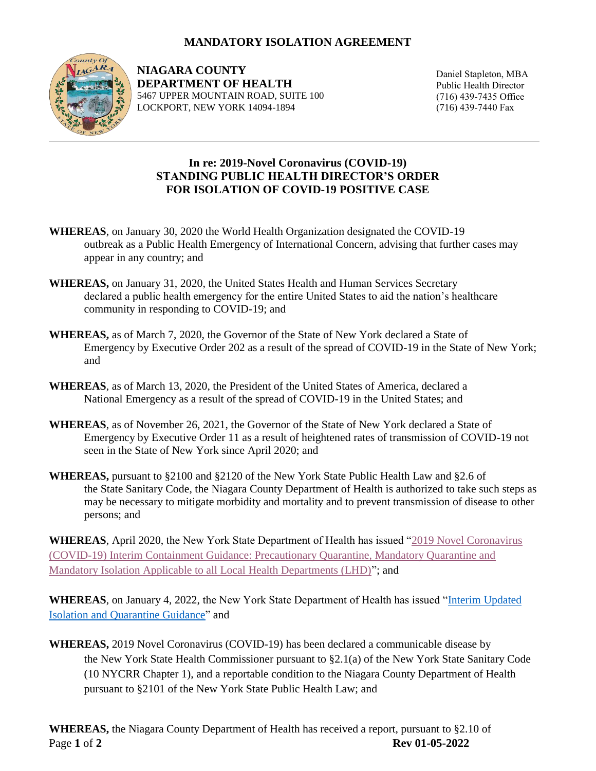## **MANDATORY ISOLATION AGREEMENT**



**NIAGARA COUNTY DEPARTMENT OF HEALTH** 5467 UPPER MOUNTAIN ROAD, SUITE 100 LOCKPORT, NEW YORK 14094-1894

Daniel Stapleton, MBA Public Health Director (716) 439-7435 Office (716) 439-7440 Fax

## **In re: 2019-Novel Coronavirus (COVID-19) STANDING PUBLIC HEALTH DIRECTOR'S ORDER FOR ISOLATION OF COVID-19 POSITIVE CASE**

- **WHEREAS**, on January 30, 2020 the World Health Organization designated the COVID-19 outbreak as a Public Health Emergency of International Concern, advising that further cases may appear in any country; and
- **WHEREAS,** on January 31, 2020, the United States Health and Human Services Secretary declared a public health emergency for the entire United States to aid the nation's healthcare community in responding to COVID-19; and
- **WHEREAS,** as of March 7, 2020, the Governor of the State of New York declared a State of Emergency by Executive Order 202 as a result of the spread of COVID-19 in the State of New York; and
- **WHEREAS**, as of March 13, 2020, the President of the United States of America, declared a National Emergency as a result of the spread of COVID-19 in the United States; and
- **WHEREAS**, as of November 26, 2021, the Governor of the State of New York declared a State of Emergency by Executive Order 11 as a result of heightened rates of transmission of COVID-19 not seen in the State of New York since April 2020; and
- **WHEREAS,** pursuant to §2100 and §2120 of the New York State Public Health Law and §2.6 of the State Sanitary Code, the Niagara County Department of Health is authorized to take such steps as may be necessary to mitigate morbidity and mortality and to prevent transmission of disease to other persons; and

**WHEREAS**, April 2020, the New York State Department of Health has issued ["2019 Novel Coronavirus](https://coronavirus.health.ny.gov/system/files/documents/2020/03/quarantine_guidance_0.pdf)  [\(COVID-19\) Interim Containment Guidance: Precautionary Quarantine, Mandatory Quarantine and](https://coronavirus.health.ny.gov/system/files/documents/2020/03/quarantine_guidance_0.pdf)  [Mandatory Isolation Applicable to all Local Health Departments \(LHD\)"](https://coronavirus.health.ny.gov/system/files/documents/2020/03/quarantine_guidance_0.pdf); and

**WHEREAS**, on January 4, 2022, the New York State Department of Health has issued ["Interim Updated](https://www.bing.com/search?q=new+york+state+department+of+health+interim+updated+isolation+and+quarantine+guidance&FORM=AWRE)  Isolation and [Quarantine Guidance"](https://www.bing.com/search?q=new+york+state+department+of+health+interim+updated+isolation+and+quarantine+guidance&FORM=AWRE) and

**WHEREAS,** 2019 Novel Coronavirus (COVID-19) has been declared a communicable disease by the New York State Health Commissioner pursuant to §2.1(a) of the New York State Sanitary Code (10 NYCRR Chapter 1), and a reportable condition to the Niagara County Department of Health pursuant to §2101 of the New York State Public Health Law; and